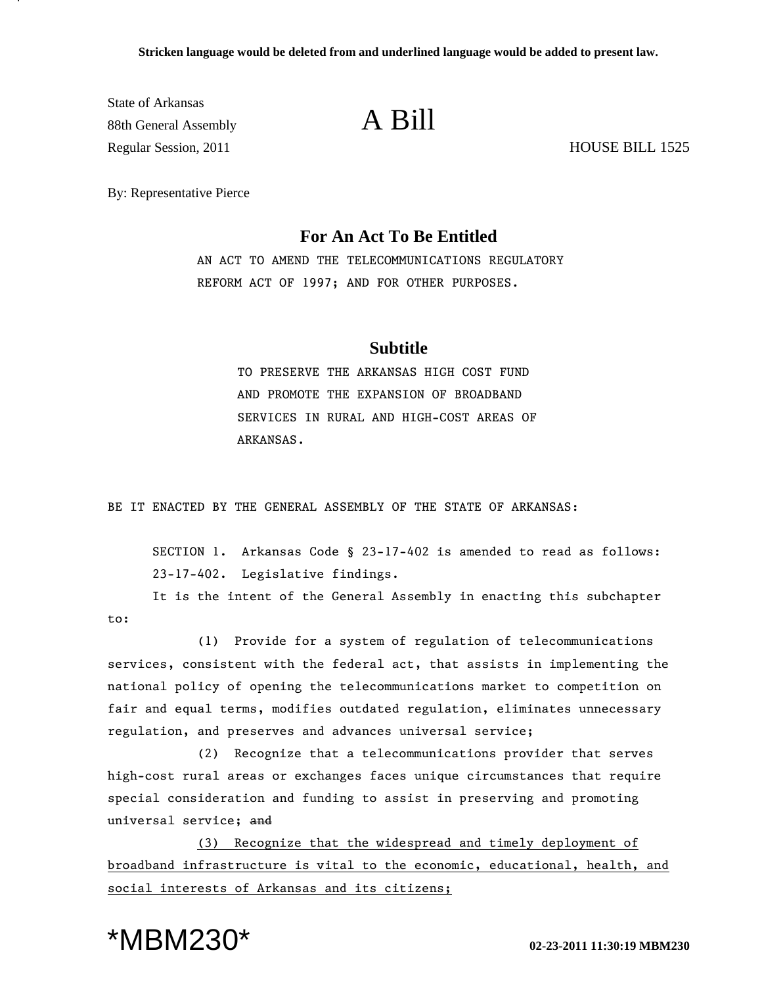State of Arkansas  $\overline{\text{88th General Assembly}}$  A Bill Regular Session, 2011 HOUSE BILL 1525

By: Representative Pierce

## **For An Act To Be Entitled**

AN ACT TO AMEND THE TELECOMMUNICATIONS REGULATORY REFORM ACT OF 1997; AND FOR OTHER PURPOSES.

## **Subtitle**

TO PRESERVE THE ARKANSAS HIGH COST FUND AND PROMOTE THE EXPANSION OF BROADBAND SERVICES IN RURAL AND HIGH-COST AREAS OF ARKANSAS.

BE IT ENACTED BY THE GENERAL ASSEMBLY OF THE STATE OF ARKANSAS:

SECTION 1. Arkansas Code § 23-17-402 is amended to read as follows: 23-17-402. Legislative findings.

It is the intent of the General Assembly in enacting this subchapter to:

(1) Provide for a system of regulation of telecommunications services, consistent with the federal act, that assists in implementing the national policy of opening the telecommunications market to competition on fair and equal terms, modifies outdated regulation, eliminates unnecessary regulation, and preserves and advances universal service;

(2) Recognize that a telecommunications provider that serves high-cost rural areas or exchanges faces unique circumstances that require special consideration and funding to assist in preserving and promoting universal service; and

(3) Recognize that the widespread and timely deployment of broadband infrastructure is vital to the economic, educational, health, and social interests of Arkansas and its citizens;

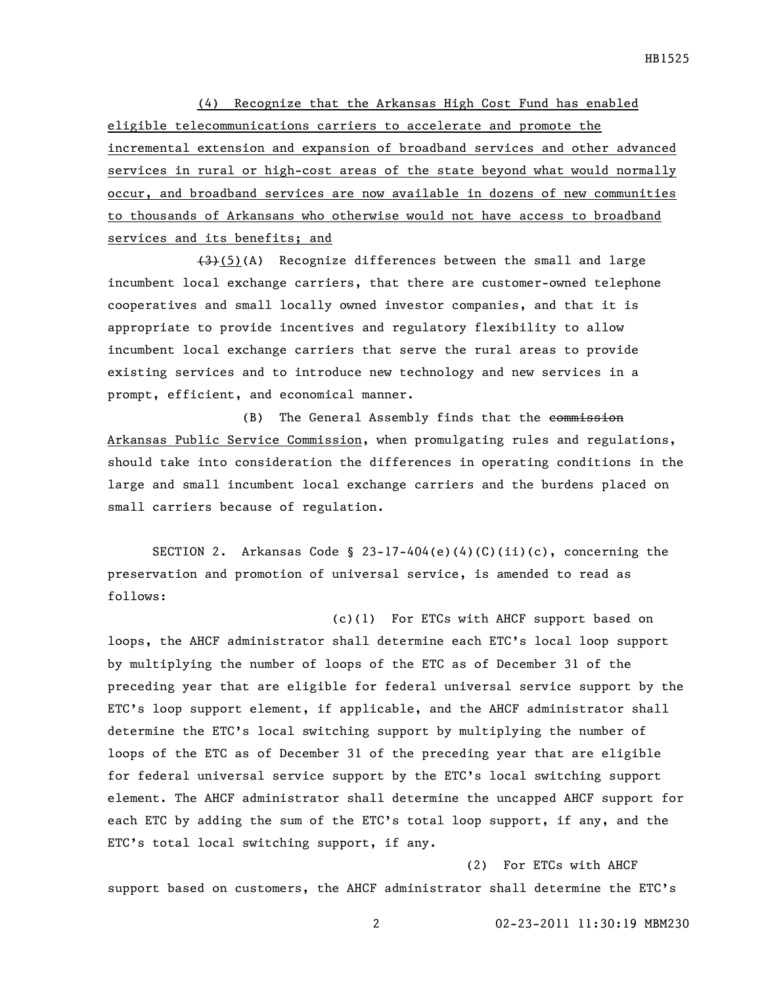(4) Recognize that the Arkansas High Cost Fund has enabled eligible telecommunications carriers to accelerate and promote the incremental extension and expansion of broadband services and other advanced services in rural or high-cost areas of the state beyond what would normally occur, and broadband services are now available in dozens of new communities to thousands of Arkansans who otherwise would not have access to broadband services and its benefits; and

(3)(5)(A) Recognize differences between the small and large incumbent local exchange carriers, that there are customer-owned telephone cooperatives and small locally owned investor companies, and that it is appropriate to provide incentives and regulatory flexibility to allow incumbent local exchange carriers that serve the rural areas to provide existing services and to introduce new technology and new services in a prompt, efficient, and economical manner.

(B) The General Assembly finds that the commission Arkansas Public Service Commission, when promulgating rules and regulations, should take into consideration the differences in operating conditions in the large and small incumbent local exchange carriers and the burdens placed on small carriers because of regulation.

SECTION 2. Arkansas Code § 23-17-404(e)(4)(C)(ii)(c), concerning the preservation and promotion of universal service, is amended to read as follows:

(c)(1) For ETCs with AHCF support based on loops, the AHCF administrator shall determine each ETC's local loop support by multiplying the number of loops of the ETC as of December 31 of the preceding year that are eligible for federal universal service support by the ETC's loop support element, if applicable, and the AHCF administrator shall determine the ETC's local switching support by multiplying the number of loops of the ETC as of December 31 of the preceding year that are eligible for federal universal service support by the ETC's local switching support element. The AHCF administrator shall determine the uncapped AHCF support for each ETC by adding the sum of the ETC's total loop support, if any, and the ETC's total local switching support, if any.

(2) For ETCs with AHCF support based on customers, the AHCF administrator shall determine the ETC's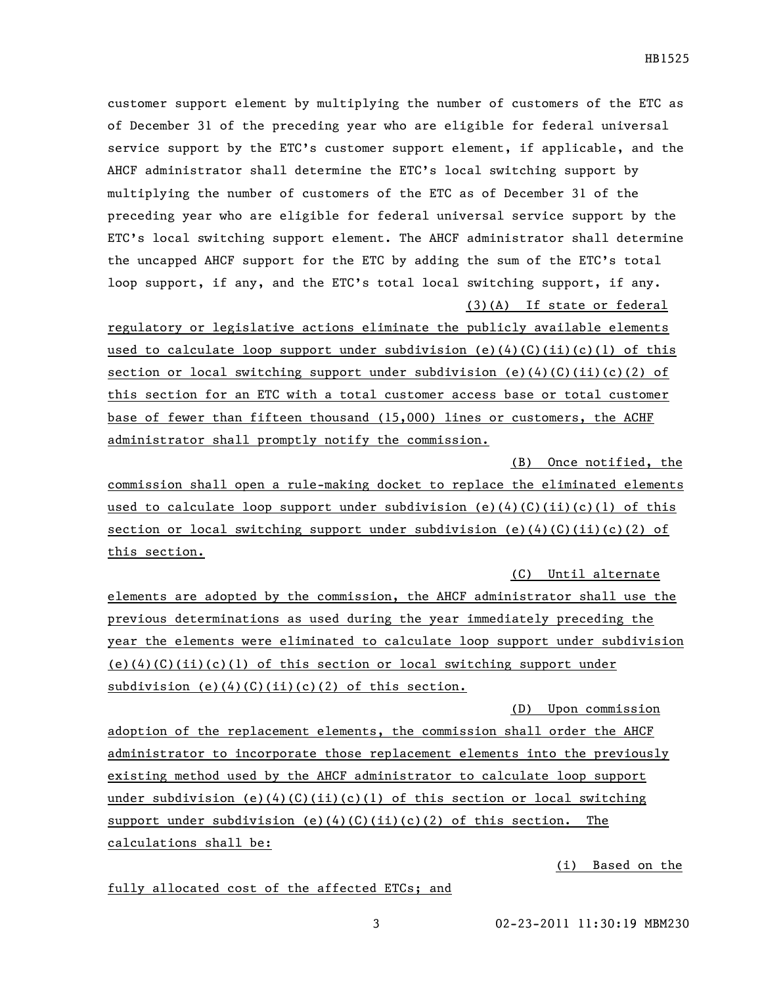customer support element by multiplying the number of customers of the ETC as of December 31 of the preceding year who are eligible for federal universal service support by the ETC's customer support element, if applicable, and the AHCF administrator shall determine the ETC's local switching support by multiplying the number of customers of the ETC as of December 31 of the preceding year who are eligible for federal universal service support by the ETC's local switching support element. The AHCF administrator shall determine the uncapped AHCF support for the ETC by adding the sum of the ETC's total loop support, if any, and the ETC's total local switching support, if any. (3)(A) If state or federal

regulatory or legislative actions eliminate the publicly available elements used to calculate loop support under subdivision (e)(4)(C)(ii)(c)(1) of this section or local switching support under subdivision (e)(4)(C)(ii)(c)(2) of this section for an ETC with a total customer access base or total customer base of fewer than fifteen thousand (15,000) lines or customers, the ACHF administrator shall promptly notify the commission.

(B) Once notified, the commission shall open a rule-making docket to replace the eliminated elements used to calculate loop support under subdivision (e)(4)(C)(ii)(c)(1) of this section or local switching support under subdivision (e)(4)(C)(ii)(c)(2) of this section.

elements are adopted by the commission, the AHCF administrator shall use the previous determinations as used during the year immediately preceding the year the elements were eliminated to calculate loop support under subdivision  $(e)(4)(C)(ii)(c)(1)$  of this section or local switching support under subdivision  $(e)(4)(C)(ii)(c)(2)$  of this section.

adoption of the replacement elements, the commission shall order the AHCF administrator to incorporate those replacement elements into the previously existing method used by the AHCF administrator to calculate loop support under subdivision (e)(4)(C)(ii)(c)(1) of this section or local switching support under subdivision (e)(4)(C)(ii)(c)(2) of this section. The calculations shall be:

(i) Based on the

fully allocated cost of the affected ETCs; and

(C) Until alternate

(D) Upon commission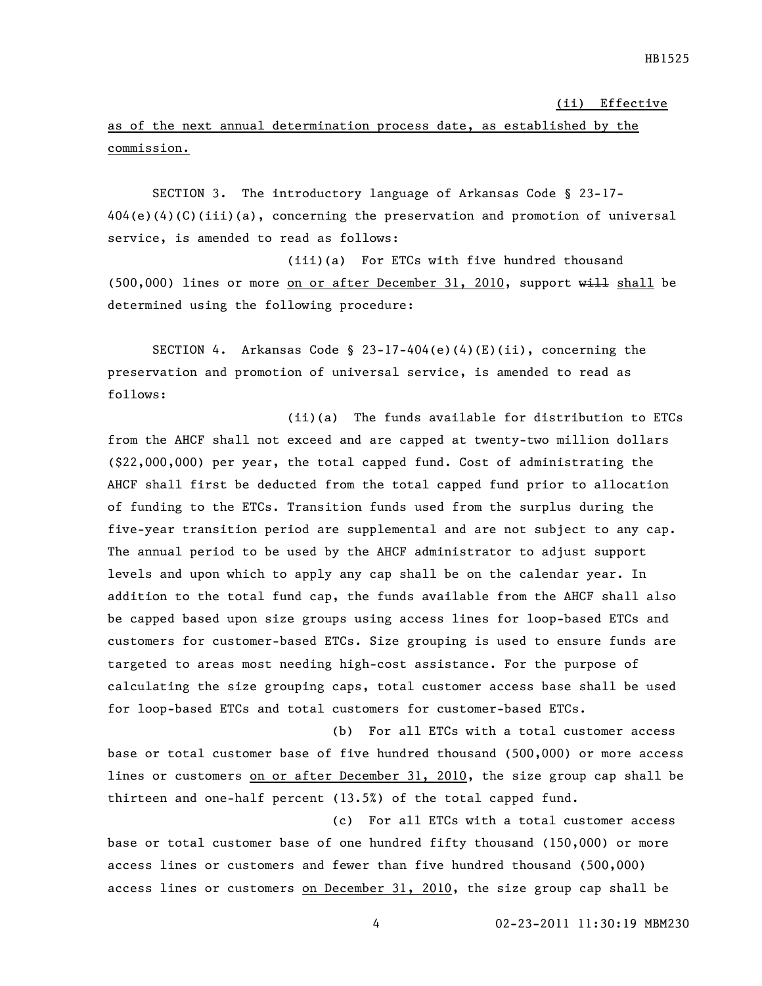(ii) Effective

## as of the next annual determination process date, as established by the commission.

SECTION 3. The introductory language of Arkansas Code § 23-17- 404(e)(4)(C)(iii)(a), concerning the preservation and promotion of universal service, is amended to read as follows:

(iii)(a) For ETCs with five hundred thousand  $(500,000)$  lines or more on or after December 31, 2010, support will shall be determined using the following procedure:

SECTION 4. Arkansas Code § 23-17-404(e)(4)(E)(ii), concerning the preservation and promotion of universal service, is amended to read as follows:

(ii)(a) The funds available for distribution to ETCs from the AHCF shall not exceed and are capped at twenty-two million dollars (\$22,000,000) per year, the total capped fund. Cost of administrating the AHCF shall first be deducted from the total capped fund prior to allocation of funding to the ETCs. Transition funds used from the surplus during the five-year transition period are supplemental and are not subject to any cap. The annual period to be used by the AHCF administrator to adjust support levels and upon which to apply any cap shall be on the calendar year. In addition to the total fund cap, the funds available from the AHCF shall also be capped based upon size groups using access lines for loop-based ETCs and customers for customer-based ETCs. Size grouping is used to ensure funds are targeted to areas most needing high-cost assistance. For the purpose of calculating the size grouping caps, total customer access base shall be used for loop-based ETCs and total customers for customer-based ETCs.

(b) For all ETCs with a total customer access base or total customer base of five hundred thousand (500,000) or more access lines or customers on or after December 31, 2010, the size group cap shall be thirteen and one-half percent (13.5%) of the total capped fund.

(c) For all ETCs with a total customer access base or total customer base of one hundred fifty thousand (150,000) or more access lines or customers and fewer than five hundred thousand (500,000) access lines or customers on December 31, 2010, the size group cap shall be